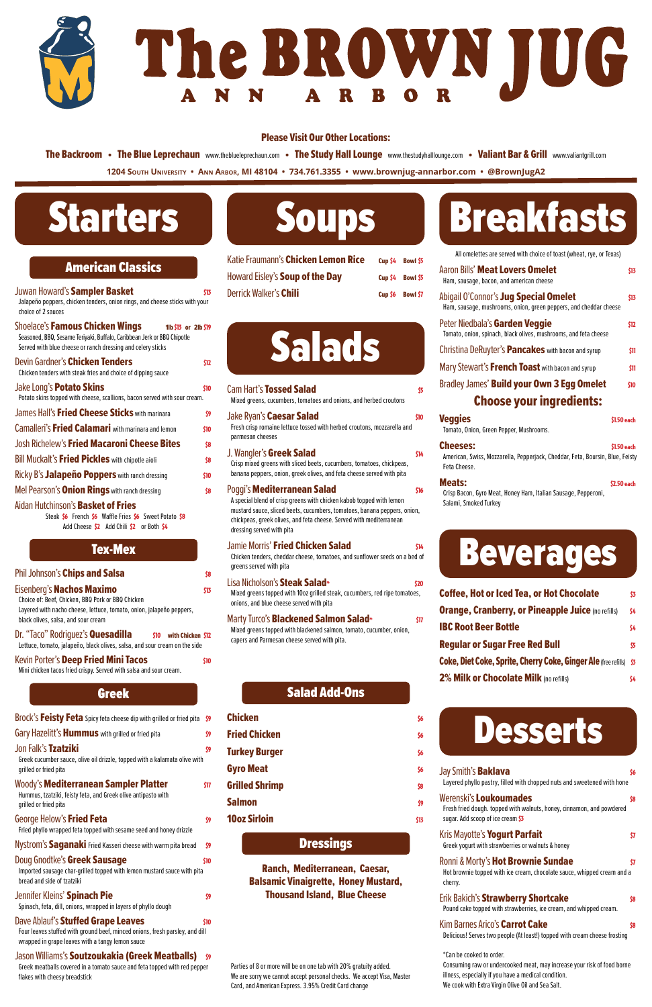# Starters

| <b>American Classics</b> |  |  |
|--------------------------|--|--|
|                          |  |  |

| American Gassics                                                                                                                                                                                           |      |
|------------------------------------------------------------------------------------------------------------------------------------------------------------------------------------------------------------|------|
| Juwan Howard's Sampler Basket<br>Jalapeño poppers, chicken tenders, onion rings, and cheese sticks with your<br>choice of 2 sauces                                                                         | \$13 |
| <b>Shoelace's Famous Chicken Wings</b><br>11b $$13$ or 21b $$19$<br>Seasoned, BBQ, Sesame Teriyaki, Buffalo, Caribbean Jerk or BBQ Chipotle<br>Served with blue cheese or ranch dressing and celery sticks |      |
| Devin Gardner's Chicken Tenders<br>Chicken tenders with steak fries and choice of dipping sauce                                                                                                            | \$12 |
| Jake Long's <b>Potato Skins</b><br>Potato skins topped with cheese, scallions, bacon served with sour cream.                                                                                               | \$10 |
| James Hall's Fried Cheese Sticks with marinara                                                                                                                                                             | \$9  |
| Camalleri's Fried Calamari with marinara and lemon                                                                                                                                                         | \$10 |
| <b>Josh Richelew's Fried Macaroni Cheese Bites</b>                                                                                                                                                         | \$8  |
| Bill Muckalt's Fried Pickles with chipotle aioli                                                                                                                                                           | \$8  |
| Ricky B's Jalapeño Poppers with ranch dressing                                                                                                                                                             | \$10 |
| Mel Pearson's <b>Onion Rings</b> with ranch dressing                                                                                                                                                       | \$8  |
| Aidan Hutchinson's <b>Basket of Fries</b><br>Steak \$6 French \$6 Waffle Fries \$6 Sweet Potato \$8<br>Add Cheese \$2 Add Chili \$2 or Both \$4                                                            |      |
| Tex-Mex                                                                                                                                                                                                    |      |

| Phil Johnson's Chips and Salsa                                                                                                                                                                | \$8  |
|-----------------------------------------------------------------------------------------------------------------------------------------------------------------------------------------------|------|
| Eisenberg's Nachos Maximo<br>Choice of: Beef, Chicken, BBQ Pork or BBQ Chicken<br>Layered with nacho cheese, lettuce, tomato, onion, jalapeño peppers,<br>black olives, salsa, and sour cream | \$13 |
| Dr. "Taco" Rodriguez's <b>Quesadilla</b><br>\$10<br>with Chicken \$12<br>Lettuce, tomato, jalapeño, black olives, salsa, and sour cream on the side                                           |      |
| Kevin Porter's Deep Fried Mini Tacos<br>Mini chicken tacos fried crispy. Served with salsa and sour cream.                                                                                    | \$10 |
|                                                                                                                                                                                               |      |

Woody's **Mediterranean Sampler Platter** \$17 Hummus, tzatziki, feisty feta, and Greek olive antipasto with grilled or fried pita

### George Helow's **Fried Feta**  $\frac{1}{3}$

### Greek

| Brock's Feisty Feta Spicy feta cheese dip with grilled or fried pita \$9 |  |
|--------------------------------------------------------------------------|--|
| Gary Hazelitt's <b>Hummus</b> with grilled or fried pita                 |  |

### Jon Falk's Tzatziki \$9

Greek cucumber sauce, olive oil drizzle, topped with a kalamata olive with grilled or fried pita

Fried phyllo wrapped feta topped with sesame seed and honey drizzle

Nystrom's Saganaki Fried Kasseri cheese with warm pita bread \$9

### Doug Gnodtke's Greek Sausage  $\mathfrak{so}% =\mathfrak{so}_{2}\times\mathfrak{so}_{2}$

Imported sausage char-grilled topped with lemon mustard sauce with pita bread and side of tzatziki

### Jennifer Kleins' **Spinach Pie Brown and Spinalish Spinalish Spinalish Spinalish Spinalish Spinalish Spinalish Sp**

Spinach, feta, dill, onions, wrapped in layers of phyllo dough

### Dave Ablauf's **Stuffed Grape Leaves 100 and 10** sto

Four leaves stuffed with ground beef, minced onions, fresh parsley, and dill wrapped in grape leaves with a tangy lemon sauce

### Jason Williams's Soutzoukakia (Greek Meatballs) \$9

Feta Cheese. **Meats:**  $\frac{1}{2.50 \text{ each}}$ 

Greek meatballs covered in a tomato sauce and feta topped with red pepper flakes with cheesy breadstick

### **Turkey Burger \$60 and \$60 and \$60 and \$60 and \$60 and \$60 and \$60 and \$60 and \$60 and \$60 and \$60 and \$60 and \$60 and \$60 and \$60 and \$60 and \$60 and \$60 and \$60 and \$60 and \$70 and \$70 and \$70 and \$70 and \$70 and \$70 and**

Gyro Meat 56

- Grilled Shrimp \$8 Salmon **Salmon Salmon 39**
- **10oz Sirloin** \$13

### **Dressings**



| Katie Fraumann's Chicken Lemon Rice |         | Cup \$4 Bowl \$5 |
|-------------------------------------|---------|------------------|
| Howard Eisley's Soup of the Day     |         | Cup \$4 Bowl \$5 |
| <b>Derrick Walker's Chili</b>       | Cup \$6 | Bowl \$7         |



| <b>Cam Hart's Tossed Salad</b><br>Mixed greens, cucumbers, tomatoes and onions, and herbed croutons                                                                                                                                                                                        | \$5  |
|--------------------------------------------------------------------------------------------------------------------------------------------------------------------------------------------------------------------------------------------------------------------------------------------|------|
| Jake Ryan's <b>Caesar Salad</b><br>Fresh crisp romaine lettuce tossed with herbed croutons, mozzarella and<br>parmesan cheeses                                                                                                                                                             | \$10 |
| J. Wangler's Greek Salad<br>Crisp mixed greens with sliced beets, cucumbers, tomatoes, chickpeas,<br>banana peppers, onion, greek olives, and feta cheese served with pita                                                                                                                 | \$14 |
| Poggi's <b>Mediterranean Salad</b><br>A special blend of crisp greens with chicken kabob topped with lemon<br>mustard sauce, sliced beets, cucumbers, tomatoes, banana peppers, onion,<br>chickpeas, greek olives, and feta cheese. Served with mediterranean<br>dressing served with pita | \$16 |
| <b>Jamie Morris' Fried Chicken Salad</b><br>Chicken tenders, cheddar cheese, tomatoes, and sunflower seeds on a bed of<br>greens served with pita                                                                                                                                          | \$14 |
| Lisa Nicholson's Steak Salad*<br>Mixed greens topped with 10oz grilled steak, cucumbers, red ripe tomatoes,<br>onions, and blue cheese served with pita                                                                                                                                    | \$20 |
| Marty Turco's <b>Blackened Salmon Salad</b> *<br>Mixed greens topped with blackened salmon, tomato, cucumber, onion,<br>capers and Parmesan cheese served with pita.                                                                                                                       | \$17 |

### Salad Add-Ons

- Chicken  $\frac{1}{36}$
- **Fried Chicken** \$6

# **Breakfasts**

Ranch, Mediterranean, Caesar, Balsamic Vinaigrette, Honey Mustard, Thousand Island, Blue Cheese

All omelettes are served with choice of toast (wheat, rye, or Texas)

**1204 South University • Ann Arbor, MI 48104 • 734.761.3355 • www.brownjug-annarbor.com • @BrownJugA2** The Backroom • The Blue Leprechaun www.theblueleprechaun.com • The Study Hall Lounge www.thestudyhalllounge.com • Valiant Bar & Grill www.valiantgrill.com

| Aaron Bills' Meat Lovers Omelet<br>Ham, sausage, bacon, and american cheese                                       | \$13.       |
|-------------------------------------------------------------------------------------------------------------------|-------------|
| Abigail O'Connor's <b>Jug Special Omelet</b><br>Ham, sausage, mushrooms, onion, green peppers, and cheddar cheese | \$13        |
| Peter Niedbala's Garden Veggie<br>Tomato, onion, spinach, black olives, mushrooms, and feta cheese                | \$12        |
| Christina DeRuyter's <b>Pancakes</b> with bacon and syrup                                                         | \$11        |
| Mary Stewart's French Toast with bacon and syrup                                                                  | \$11        |
| Bradley James' Build your Own 3 Egg Omelet                                                                        | \$10        |
| <b>Choose your ingredients:</b>                                                                                   |             |
| <b>Veggies</b><br>Tomato, Onion, Green Pepper, Mushrooms.                                                         | \$1.50 each |
| <b>Cheeses:</b><br>American, Swiss, Mozzarella, Pepperjack, Cheddar, Feta, Boursin, Blue, Feisty                  | \$1.50 each |

Crisp Bacon, Gyro Meat, Honey Ham, Italian Sausage, Pepperoni, Salami, Smoked Turkey



| Jay Smith's <b>Baklava</b><br>Layered phyllo pastry, filled with chopped nuts and sweetened with hone                                       | S6 |
|---------------------------------------------------------------------------------------------------------------------------------------------|----|
| Werenski's <b>Loukoumades</b><br>Fresh fried dough. topped with walnuts, honey, cinnamon, and powdered<br>sugar. Add scoop of ice cream \$3 | S8 |
| Kris Mayotte's Yogurt Parfait<br>Greek yogurt with strawberries or walnuts & honey                                                          | 57 |
| Ronni & Morty's Hot Brownie Sundae<br>Hot brownie topped with ice cream, chocolate sauce, whipped cream and a<br>cherry.                    | 57 |
| Erik Bakich's Strawberry Shortcake                                                                                                          | S8 |

Pound cake topped with strawberries, ice cream, and whipped cream.

### Kim Barnes Arico's **Carrot Cake** \$8

Delicious! Serves two people (At least!) topped with cream cheese frosting

## Beverages

| <b>Coffee, Hot or Iced Tea, or Hot Chocolate</b>                    | \$3. |
|---------------------------------------------------------------------|------|
| <b>Orange, Cranberry, or Pineapple Juice (no refills)</b>           | \$4  |
| <b>IBC Root Beer Bottle</b>                                         | \$4. |
| <b>Regular or Sugar Free Red Bull</b>                               | \$5. |
| Coke, Diet Coke, Sprite, Cherry Coke, Ginger Ale (free refills) \$3 |      |
| 2% Milk or Chocolate Milk (no refills)                              | \$4. |

\*Can be cooked to order.

Consuming raw or undercooked meat, may increase your risk of food borne illness, especially if you have a medical condition. We cook with Extra Virgin Olive Oil and Sea Salt.

Parties of 8 or more will be on one tab with 20% gratuity added. We are sorry we cannot accept personal checks. We accept Visa, Master Card, and American Express. 3.95% Credit Card change



### Please Visit Our Other Locations: